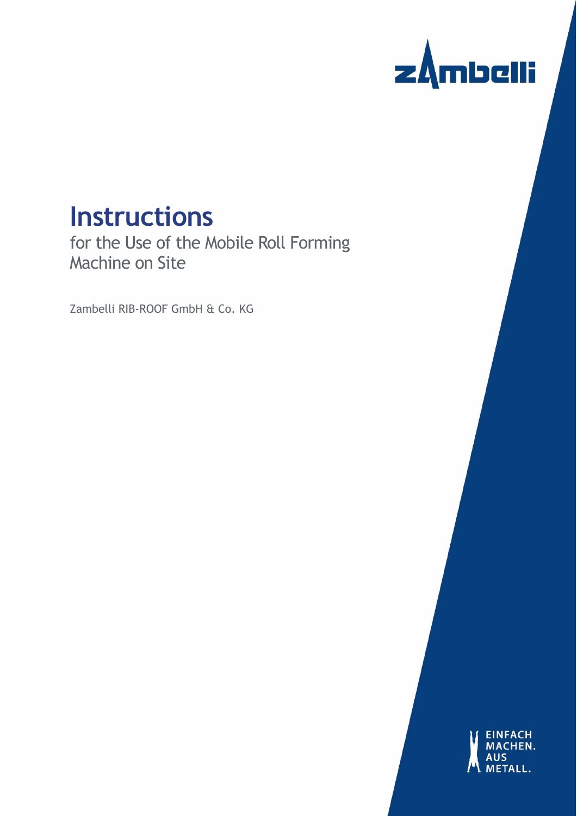

# **Instructions**

for the Use of the Mobile Roll Forming Machine on Site

Zambelli RIB-ROOF GmbH & Co. KG

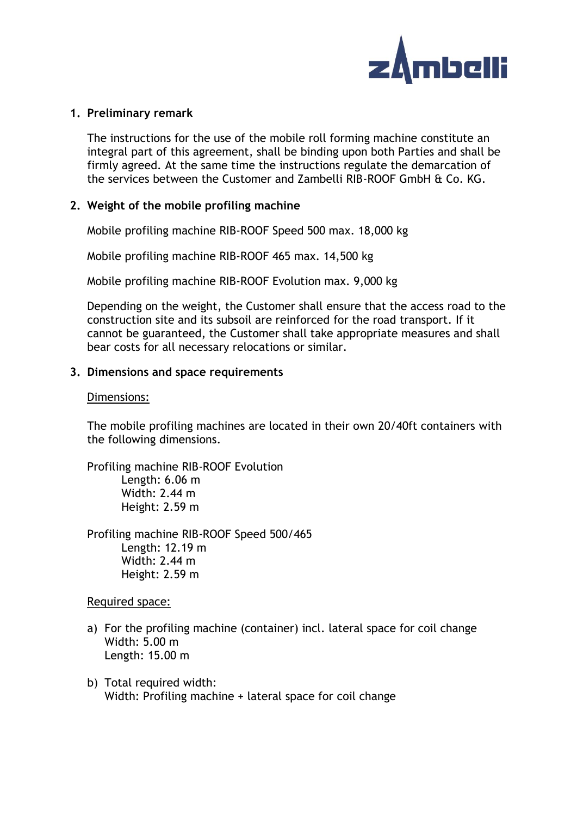

#### **1. Preliminary remark**

The instructions for the use of the mobile roll forming machine constitute an integral part of this agreement, shall be binding upon both Parties and shall be firmly agreed. At the same time the instructions regulate the demarcation of the services between the Customer and Zambelli RIB-ROOF GmbH & Co. KG.

# **2. Weight of the mobile profiling machine**

Mobile profiling machine RIB-ROOF Speed 500 max. 18,000 kg

Mobile profiling machine RIB-ROOF 465 max. 14,500 kg

Mobile profiling machine RIB-ROOF Evolution max. 9,000 kg

Depending on the weight, the Customer shall ensure that the access road to the construction site and its subsoil are reinforced for the road transport. If it cannot be guaranteed, the Customer shall take appropriate measures and shall bear costs for all necessary relocations or similar.

### **3. Dimensions and space requirements**

#### Dimensions:

The mobile profiling machines are located in their own 20/40ft containers with the following dimensions.

Profiling machine RIB-ROOF Evolution Length: 6.06 m Width: 2.44 m Height: 2.59 m

Profiling machine RIB-ROOF Speed 500/465 Length: 12.19 m Width: 2.44 m Height: 2.59 m

Required space:

- a) For the profiling machine (container) incl. lateral space for coil change Width: 5.00 m Length: 15.00 m
- b) Total required width: Width: Profiling machine + lateral space for coil change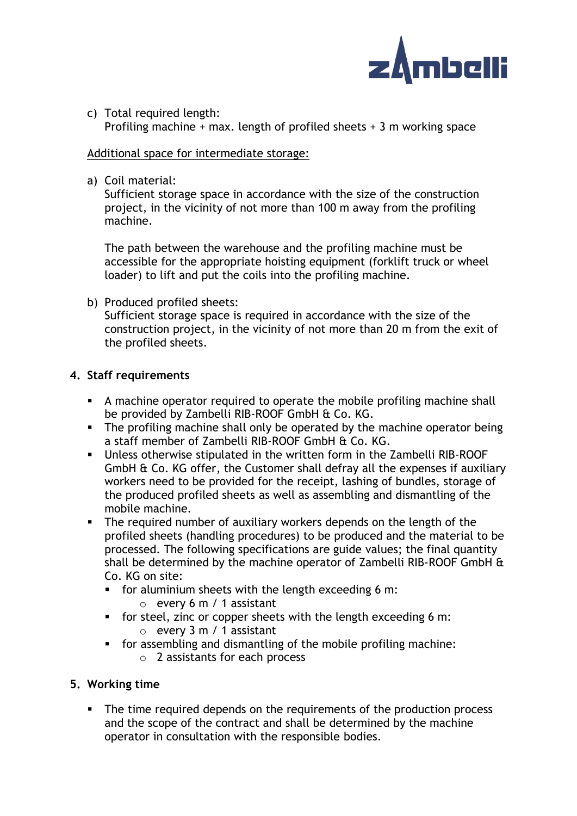

c) Total required length: Profiling machine + max. length of profiled sheets + 3 m working space

## Additional space for intermediate storage:

a) Coil material:

Sufficient storage space in accordance with the size of the construction project, in the vicinity of not more than 100 m away from the profiling machine.

The path between the warehouse and the profiling machine must be accessible for the appropriate hoisting equipment (forklift truck or wheel loader) to lift and put the coils into the profiling machine.

b) Produced profiled sheets: Sufficient storage space is required in accordance with the size of the construction project, in the vicinity of not more than 20 m from the exit of the profiled sheets.

# **4. Staff requirements**

- A machine operator required to operate the mobile profiling machine shall be provided by Zambelli RIB-ROOF GmbH & Co. KG.
- **•** The profiling machine shall only be operated by the machine operator being a staff member of Zambelli RIB-ROOF GmbH & Co. KG.
- Unless otherwise stipulated in the written form in the Zambelli RIB-ROOF GmbH & Co. KG offer, the Customer shall defray all the expenses if auxiliary workers need to be provided for the receipt, lashing of bundles, storage of the produced profiled sheets as well as assembling and dismantling of the mobile machine.
- **•** The required number of auxiliary workers depends on the length of the profiled sheets (handling procedures) to be produced and the material to be processed. The following specifications are guide values; the final quantity shall be determined by the machine operator of Zambelli RIB-ROOF GmbH & Co. KG on site:
	- for aluminium sheets with the length exceeding 6 m:
		- $\circ$  every 6 m / 1 assistant
	- for steel, zinc or copper sheets with the length exceeding 6 m:  $\circ$  every 3 m / 1 assistant
	- for assembling and dismantling of the mobile profiling machine: o 2 assistants for each process

# **5. Working time**

▪ The time required depends on the requirements of the production process and the scope of the contract and shall be determined by the machine operator in consultation with the responsible bodies.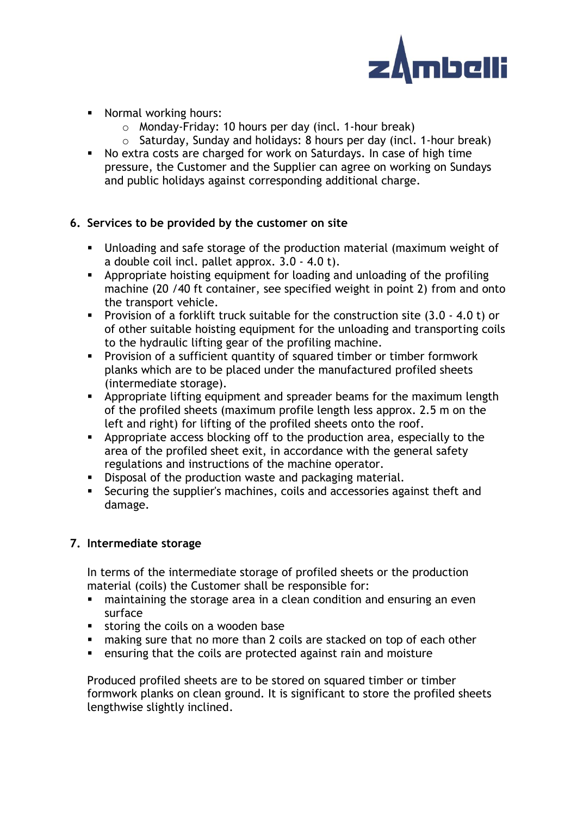

- Normal working hours:
	- o Monday-Friday: 10 hours per day (incl. 1-hour break)
	- o Saturday, Sunday and holidays: 8 hours per day (incl. 1-hour break)
- No extra costs are charged for work on Saturdays. In case of high time pressure, the Customer and the Supplier can agree on working on Sundays and public holidays against corresponding additional charge.

# **6. Services to be provided by the customer on site**

- Unloading and safe storage of the production material (maximum weight of a double coil incl. pallet approx. 3.0 - 4.0 t).
- **EXED** Appropriate hoisting equipment for loading and unloading of the profiling machine (20 /40 ft container, see specified weight in point 2) from and onto the transport vehicle.
- Provision of a forklift truck suitable for the construction site (3.0 4.0 t) or of other suitable hoisting equipment for the unloading and transporting coils to the hydraulic lifting gear of the profiling machine.
- Provision of a sufficient quantity of squared timber or timber formwork planks which are to be placed under the manufactured profiled sheets (intermediate storage).
- **EXP** Appropriate lifting equipment and spreader beams for the maximum length of the profiled sheets (maximum profile length less approx. 2.5 m on the left and right) for lifting of the profiled sheets onto the roof.
- **EXED** Appropriate access blocking off to the production area, especially to the area of the profiled sheet exit, in accordance with the general safety regulations and instructions of the machine operator.
- **EXP** Disposal of the production waste and packaging material.
- Securing the supplier's machines, coils and accessories against theft and damage.

# **7. Intermediate storage**

In terms of the intermediate storage of profiled sheets or the production material (coils) the Customer shall be responsible for:

- maintaining the storage area in a clean condition and ensuring an even surface
- storing the coils on a wooden base
- making sure that no more than 2 coils are stacked on top of each other
- ensuring that the coils are protected against rain and moisture

Produced profiled sheets are to be stored on squared timber or timber formwork planks on clean ground. It is significant to store the profiled sheets lengthwise slightly inclined.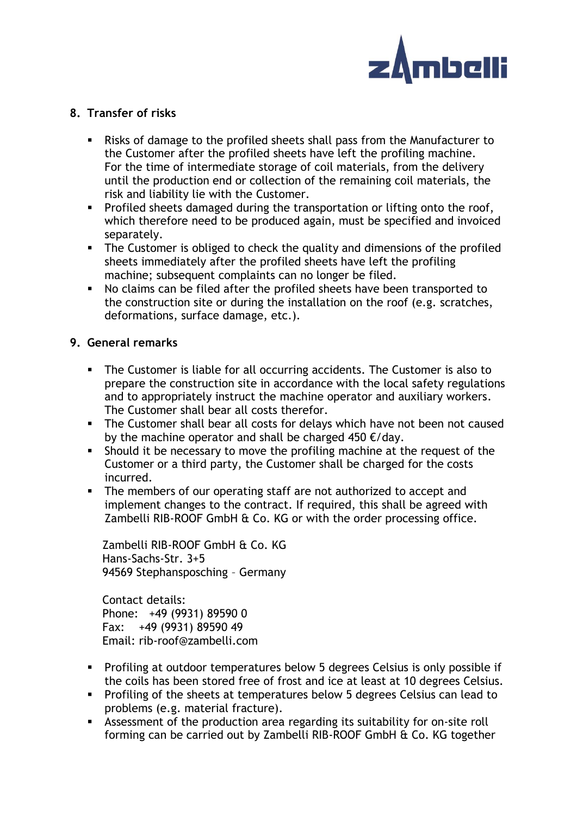

# **8. Transfer of risks**

- Risks of damage to the profiled sheets shall pass from the Manufacturer to the Customer after the profiled sheets have left the profiling machine. For the time of intermediate storage of coil materials, from the delivery until the production end or collection of the remaining coil materials, the risk and liability lie with the Customer.
- **•** Profiled sheets damaged during the transportation or lifting onto the roof, which therefore need to be produced again, must be specified and invoiced separately.
- **•** The Customer is obliged to check the quality and dimensions of the profiled sheets immediately after the profiled sheets have left the profiling machine; subsequent complaints can no longer be filed.
- No claims can be filed after the profiled sheets have been transported to the construction site or during the installation on the roof (e.g. scratches, deformations, surface damage, etc.).

# **9. General remarks**

- **•** The Customer is liable for all occurring accidents. The Customer is also to prepare the construction site in accordance with the local safety regulations and to appropriately instruct the machine operator and auxiliary workers. The Customer shall bear all costs therefor.
- **•** The Customer shall bear all costs for delays which have not been not caused by the machine operator and shall be charged 450  $\epsilon$ /day.
- **EXED** Should it be necessary to move the profiling machine at the request of the Customer or a third party, the Customer shall be charged for the costs incurred.
- The members of our operating staff are not authorized to accept and implement changes to the contract. If required, this shall be agreed with Zambelli RIB-ROOF GmbH & Co. KG or with the order processing office.

Zambelli RIB-ROOF GmbH & Co. KG Hans-Sachs-Str. 3+5 94569 Stephansposching – Germany

Contact details: Phone: +49 (9931) 89590 0 Fax: +49 (9931) 89590 49 Email: rib-roof@zambelli.com

- Profiling at outdoor temperatures below 5 degrees Celsius is only possible if the coils has been stored free of frost and ice at least at 10 degrees Celsius.
- Profiling of the sheets at temperatures below 5 degrees Celsius can lead to problems (e.g. material fracture).
- **EXECT** Assessment of the production area regarding its suitability for on-site roll forming can be carried out by Zambelli RIB-ROOF GmbH & Co. KG together